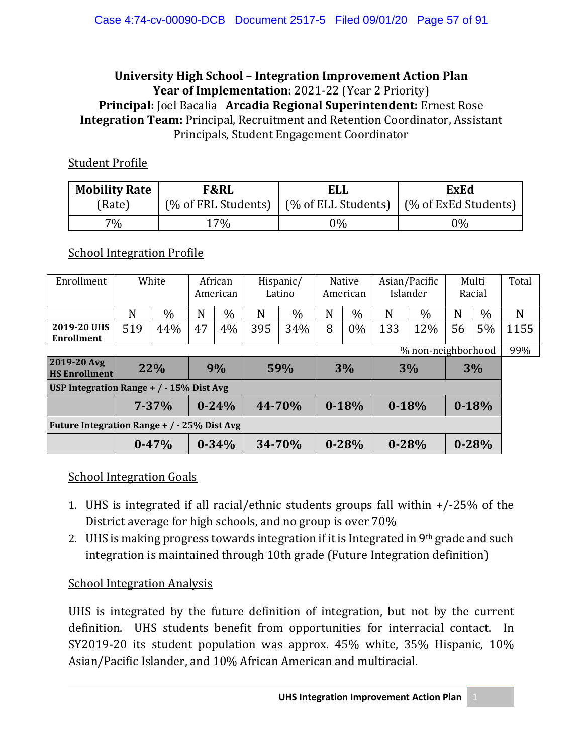#### **University High School – Integration Improvement Action Plan Year of Implementation:** 2021-22 (Year 2 Priority) **Principal:** Joel Bacalia **Arcadia Regional Superintendent:** Ernest Rose **Integration Team:** Principal, Recruitment and Retention Coordinator, Assistant Principals, Student Engagement Coordinator

#### Student Profile

| <b>Mobility Rate</b> | <b>F&amp;RL</b>     | <b>ELL</b>          | <b>ExEd</b>          |  |  |
|----------------------|---------------------|---------------------|----------------------|--|--|
| (Rate)               | (% of FRL Students) | (% of ELL Students) | (% of ExEd Students) |  |  |
| $7\%$                | $17\%$              | 0%                  | $0\%$                |  |  |

### School Integration Profile

| Enrollment                                      |     | White     | African<br>American |           | Hispanic/<br>Latino |               | <b>Native</b><br>American |           | Asian/Pacific<br>Islander |           | Multi<br>Racial |           | Total |
|-------------------------------------------------|-----|-----------|---------------------|-----------|---------------------|---------------|---------------------------|-----------|---------------------------|-----------|-----------------|-----------|-------|
|                                                 | N   | $\%$      | N                   | $\%$      | N                   | $\frac{0}{0}$ | N                         | $\%$      | N                         | $\%$      | N               | $\%$      | N     |
| 2019-20 UHS<br>Enrollment                       | 519 | 44%       | 47                  | 4%        | 395                 | 34%           | 8                         | $0\%$     | 133                       | 12%       | 56              | 5%        | 1155  |
| % non-neighborhood                              |     |           |                     |           |                     |               |                           | 99%       |                           |           |                 |           |       |
| 2019-20 Avg<br><b>HS Enrollment</b>             |     | 22%       | 9%<br>59%<br>3%     |           | 3%                  |               | 3%                        |           |                           |           |                 |           |       |
| USP Integration Range $+$ / $-$ 15% Dist Avg    |     |           |                     |           |                     |               |                           |           |                           |           |                 |           |       |
|                                                 |     | $7 - 37%$ |                     | $0 - 24%$ | 44-70%<br>$0 - 18%$ |               | $0 - 18%$                 |           |                           | $0 - 18%$ |                 |           |       |
| Future Integration Range $+$ / $-$ 25% Dist Avg |     |           |                     |           |                     |               |                           |           |                           |           |                 |           |       |
|                                                 |     | $0 - 47%$ |                     | $0 - 34%$ |                     | 34-70%        |                           | $0 - 28%$ |                           | $0 - 28%$ |                 | $0 - 28%$ |       |

### School Integration Goals

- 1. UHS is integrated if all racial/ethnic students groups fall within +/-25% of the District average for high schools, and no group is over 70%
- 2. UHS is making progress towards integration if it is Integrated in 9th grade and such integration is maintained through 10th grade (Future Integration definition)

### School Integration Analysis

UHS is integrated by the future definition of integration, but not by the current definition. UHS students benefit from opportunities for interracial contact. In SY2019-20 its student population was approx. 45% white, 35% Hispanic, 10% Asian/Pacific Islander, and 10% African American and multiracial.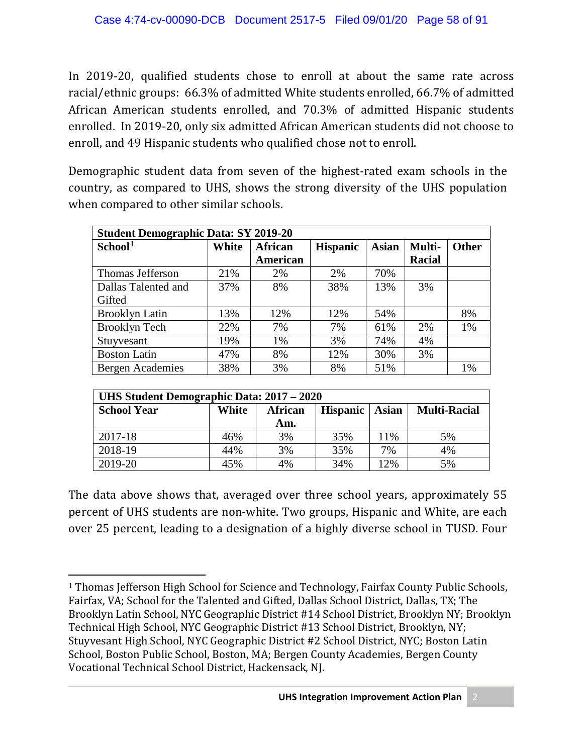In 2019-20, qualified students chose to enroll at about the same rate across racial/ethnic groups: 66.3% of admitted White students enrolled, 66.7% of admitted African American students enrolled, and 70.3% of admitted Hispanic students enrolled. In 2019-20, only six admitted African American students did not choose to enroll, and 49 Hispanic students who qualified chose not to enroll.

Demographic student data from seven of the highest-rated exam schools in the country, as compared to UHS, shows the strong diversity of the UHS population when compared to other similar schools.

| <b>Student Demographic Data: SY 2019-20</b> |                         |          |                 |              |               |              |  |  |
|---------------------------------------------|-------------------------|----------|-----------------|--------------|---------------|--------------|--|--|
| School <sup>1</sup>                         | White<br><b>African</b> |          | <b>Hispanic</b> | <b>Asian</b> | Multi-        | <b>Other</b> |  |  |
|                                             |                         | American |                 |              | <b>Racial</b> |              |  |  |
| Thomas Jefferson                            | 21%                     | 2%       | 2%              | 70%          |               |              |  |  |
| Dallas Talented and                         | 37%                     | 8%       | 38%             | 13%          | 3%            |              |  |  |
| Gifted                                      |                         |          |                 |              |               |              |  |  |
| <b>Brooklyn Latin</b>                       | 13%                     | 12%      | 12%             | 54%          |               | 8%           |  |  |
| <b>Brooklyn Tech</b>                        | 22%                     | 7%       | 7%              | 61%          | 2%            | 1%           |  |  |
| Stuyvesant                                  | 19%                     | 1%       | 3%              | 74%          | 4%            |              |  |  |
| <b>Boston Latin</b>                         | 47%                     | 8%       | 12%             | 30%          | 3%            |              |  |  |
| <b>Bergen Academies</b>                     | 38%                     | 3%       | 8%              | 51%          |               | 1%           |  |  |

| UHS Student Demographic Data: 2017 – 2020 |       |         |              |                     |    |  |  |
|-------------------------------------------|-------|---------|--------------|---------------------|----|--|--|
| <b>School Year</b>                        | White | African | <b>Asian</b> | <b>Multi-Racial</b> |    |  |  |
|                                           |       | Am.     |              |                     |    |  |  |
| 2017-18                                   | 46%   | 3%      | 35%          | 11%                 | 5% |  |  |
| 2018-19                                   | 44%   | 3%      | 35%          | 7%                  | 4% |  |  |
| 2019-20                                   | 45%   | 4%      | 34%          | 12%                 | 5% |  |  |

The data above shows that, averaged over three school years, approximately 55 percent of UHS students are non-white. Two groups, Hispanic and White, are each over 25 percent, leading to a designation of a highly diverse school in TUSD. Four

l

<span id="page-1-0"></span><sup>&</sup>lt;sup>1</sup> Thomas Jefferson High School for Science and Technology, Fairfax County Public Schools, Fairfax, VA; School for the Talented and Gifted, Dallas School District, Dallas, TX; The Brooklyn Latin School, NYC Geographic District #14 School District, Brooklyn NY; Brooklyn Technical High School, NYC Geographic District #13 School District, Brooklyn, NY; Stuyvesant High School, NYC Geographic District #2 School District, NYC; Boston Latin School, Boston Public School, Boston, MA; Bergen County Academies, Bergen County Vocational Technical School District, Hackensack, NJ.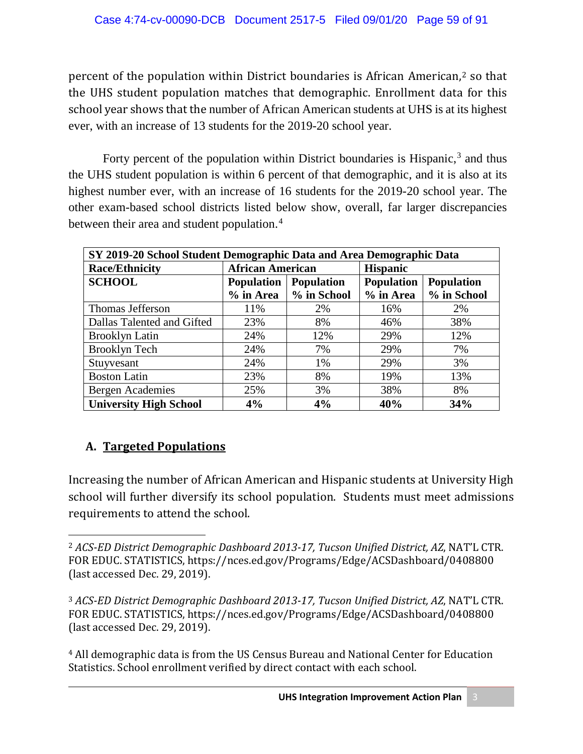percent of the population within District boundaries is African American,<sup>[2](#page-2-0)</sup> so that the UHS student population matches that demographic. Enrollment data for this school year shows that the number of African American students at UHS is at its highest ever, with an increase of 13 students for the 2019-20 school year.

Forty percent of the population within District boundaries is Hispanic, $3$  and thus the UHS student population is within 6 percent of that demographic, and it is also at its highest number ever, with an increase of 16 students for the 2019-20 school year. The other exam-based school districts listed below show, overall, far larger discrepancies between their area and student population.<sup>[4](#page-2-2)</sup>

| SY 2019-20 School Student Demographic Data and Area Demographic Data |                         |                   |                                        |             |  |  |  |
|----------------------------------------------------------------------|-------------------------|-------------------|----------------------------------------|-------------|--|--|--|
| <b>Race/Ethnicity</b>                                                | <b>African American</b> |                   | <b>Hispanic</b>                        |             |  |  |  |
| <b>SCHOOL</b>                                                        | <b>Population</b>       | <b>Population</b> | <b>Population</b><br><b>Population</b> |             |  |  |  |
|                                                                      | $%$ in Area             | % in School       | % in Area                              | % in School |  |  |  |
| Thomas Jefferson                                                     | 11%                     | 2%                | 16%                                    | 2%          |  |  |  |
| Dallas Talented and Gifted                                           | 23%                     | 8%                | 46%                                    | 38%         |  |  |  |
| <b>Brooklyn Latin</b>                                                | 24%                     | 12%               | 29%                                    | 12%         |  |  |  |
| <b>Brooklyn Tech</b>                                                 | 24%                     | 7%                | 29%                                    | 7%          |  |  |  |
| Stuyvesant                                                           | 24%                     | 1%                | 29%                                    | 3%          |  |  |  |
| <b>Boston Latin</b>                                                  | 23%                     | 8%                | 19%                                    | 13%         |  |  |  |
| Bergen Academies                                                     | 25%                     | 3%                | 38%                                    | 8%          |  |  |  |
| <b>University High School</b>                                        | 4%                      | 4%                | 40%                                    | 34%         |  |  |  |

# **A. Targeted Populations**

Increasing the number of African American and Hispanic students at University High school will further diversify its school population. Students must meet admissions requirements to attend the school.

<span id="page-2-2"></span><sup>4</sup> All demographic data is from the US Census Bureau and National Center for Education Statistics. School enrollment verified by direct contact with each school.

<span id="page-2-0"></span> $\overline{a}$ <sup>2</sup> *ACS-ED District Demographic Dashboard 2013-17, Tucson Unified District, AZ*, NAT'L CTR. FOR EDUC. STATISTICS, https://nces.ed.gov/Programs/Edge/ACSDashboard/0408800 (last accessed Dec. 29, 2019).

<span id="page-2-1"></span><sup>3</sup> *ACS-ED District Demographic Dashboard 2013-17, Tucson Unified District, AZ*, NAT'L CTR. FOR EDUC. STATISTICS, https://nces.ed.gov/Programs/Edge/ACSDashboard/0408800 (last accessed Dec. 29, 2019).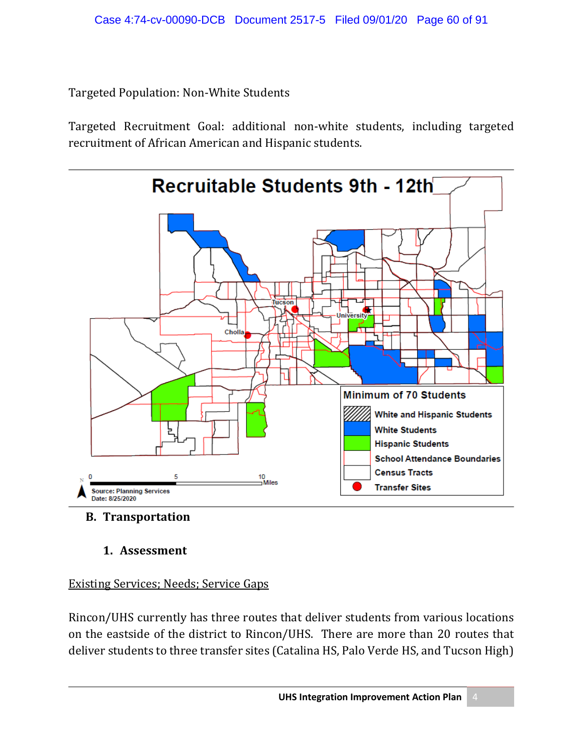Targeted Population: Non-White Students

Targeted Recruitment Goal: additional non-white students, including targeted recruitment of African American and Hispanic students.



- **B. Transportation** 
	- **1. Assessment**

### Existing Services; Needs; Service Gaps

Rincon/UHS currently has three routes that deliver students from various locations on the eastside of the district to Rincon/UHS. There are more than 20 routes that deliver students to three transfer sites (Catalina HS, Palo Verde HS, and Tucson High)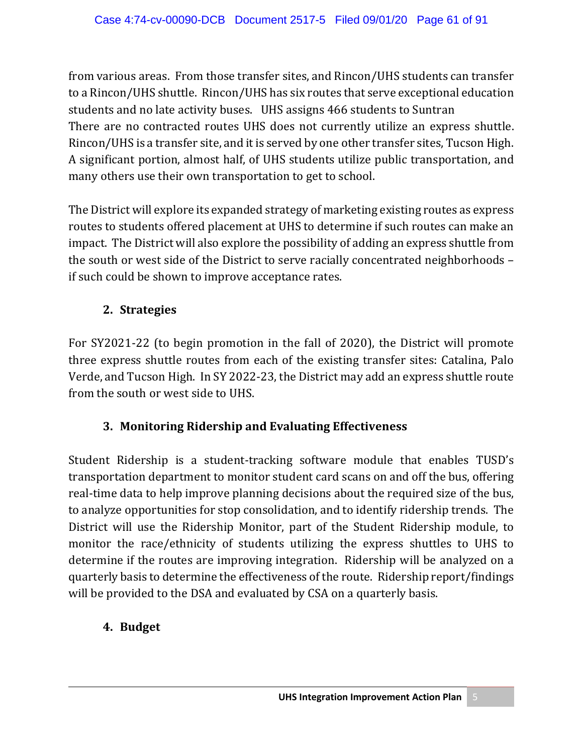from various areas. From those transfer sites, and Rincon/UHS students can transfer to a Rincon/UHS shuttle. Rincon/UHS has six routes that serve exceptional education students and no late activity buses. UHS assigns 466 students to Suntran There are no contracted routes UHS does not currently utilize an express shuttle. Rincon/UHS is a transfer site, and it is served by one other transfer sites, Tucson High. A significant portion, almost half, of UHS students utilize public transportation, and many others use their own transportation to get to school.

The District will explore its expanded strategy of marketing existing routes as express routes to students offered placement at UHS to determine if such routes can make an impact. The District will also explore the possibility of adding an express shuttle from the south or west side of the District to serve racially concentrated neighborhoods – if such could be shown to improve acceptance rates.

### **2. Strategies**

For SY2021-22 (to begin promotion in the fall of 2020), the District will promote three express shuttle routes from each of the existing transfer sites: Catalina, Palo Verde, and Tucson High. In SY 2022-23, the District may add an express shuttle route from the south or west side to UHS.

### **3. Monitoring Ridership and Evaluating Effectiveness**

Student Ridership is a student-tracking software module that enables TUSD's transportation department to monitor student card scans on and off the bus, offering real-time data to help improve planning decisions about the required size of the bus, to analyze opportunities for stop consolidation, and to identify ridership trends. The District will use the Ridership Monitor, part of the Student Ridership module, to monitor the race/ethnicity of students utilizing the express shuttles to UHS to determine if the routes are improving integration. Ridership will be analyzed on a quarterly basis to determine the effectiveness of the route. Ridership report/findings will be provided to the DSA and evaluated by CSA on a quarterly basis.

### **4. Budget**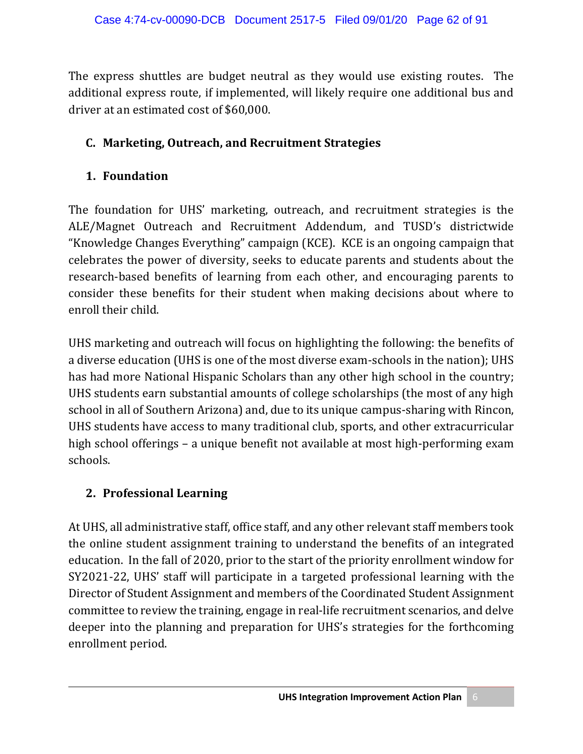The express shuttles are budget neutral as they would use existing routes. The additional express route, if implemented, will likely require one additional bus and driver at an estimated cost of \$60,000.

### **C. Marketing, Outreach, and Recruitment Strategies**

### **1. Foundation**

The foundation for UHS' marketing, outreach, and recruitment strategies is the ALE/Magnet Outreach and Recruitment Addendum, and TUSD's districtwide "Knowledge Changes Everything" campaign (KCE). KCE is an ongoing campaign that celebrates the power of diversity, seeks to educate parents and students about the research-based benefits of learning from each other, and encouraging parents to consider these benefits for their student when making decisions about where to enroll their child.

UHS marketing and outreach will focus on highlighting the following: the benefits of a diverse education (UHS is one of the most diverse exam-schools in the nation); UHS has had more National Hispanic Scholars than any other high school in the country; UHS students earn substantial amounts of college scholarships (the most of any high school in all of Southern Arizona) and, due to its unique campus-sharing with Rincon, UHS students have access to many traditional club, sports, and other extracurricular high school offerings – a unique benefit not available at most high-performing exam schools.

### **2. Professional Learning**

At UHS, all administrative staff, office staff, and any other relevant staff members took the online student assignment training to understand the benefits of an integrated education. In the fall of 2020, prior to the start of the priority enrollment window for SY2021-22, UHS' staff will participate in a targeted professional learning with the Director of Student Assignment and members of the Coordinated Student Assignment committee to review the training, engage in real-life recruitment scenarios, and delve deeper into the planning and preparation for UHS's strategies for the forthcoming enrollment period.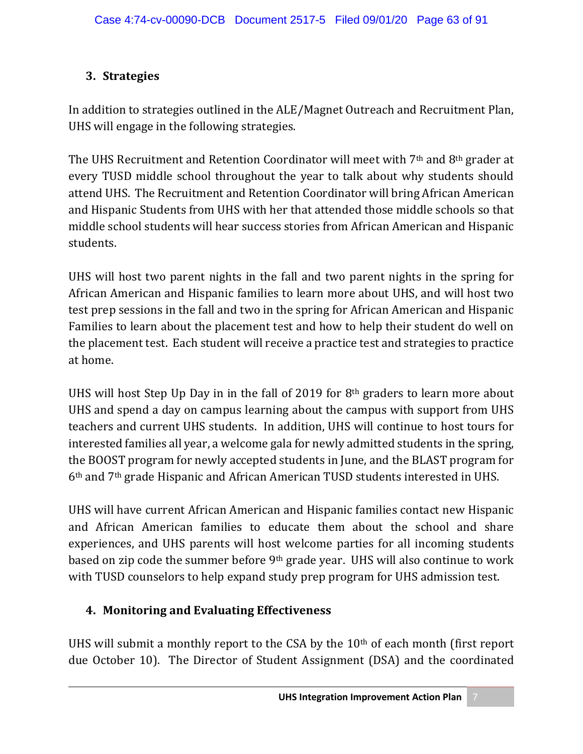# **3. Strategies**

In addition to strategies outlined in the ALE/Magnet Outreach and Recruitment Plan, UHS will engage in the following strategies.

The UHS Recruitment and Retention Coordinator will meet with 7<sup>th</sup> and 8<sup>th</sup> grader at every TUSD middle school throughout the year to talk about why students should attend UHS. The Recruitment and Retention Coordinator will bring African American and Hispanic Students from UHS with her that attended those middle schools so that middle school students will hear success stories from African American and Hispanic students.

UHS will host two parent nights in the fall and two parent nights in the spring for African American and Hispanic families to learn more about UHS, and will host two test prep sessions in the fall and two in the spring for African American and Hispanic Families to learn about the placement test and how to help their student do well on the placement test. Each student will receive a practice test and strategies to practice at home.

UHS will host Step Up Day in in the fall of 2019 for 8th graders to learn more about UHS and spend a day on campus learning about the campus with support from UHS teachers and current UHS students. In addition, UHS will continue to host tours for interested families all year, a welcome gala for newly admitted students in the spring, the BOOST program for newly accepted students in June, and the BLAST program for 6th and 7th grade Hispanic and African American TUSD students interested in UHS.

UHS will have current African American and Hispanic families contact new Hispanic and African American families to educate them about the school and share experiences, and UHS parents will host welcome parties for all incoming students based on zip code the summer before 9th grade year. UHS will also continue to work with TUSD counselors to help expand study prep program for UHS admission test.

# **4. Monitoring and Evaluating Effectiveness**

UHS will submit a monthly report to the CSA by the  $10<sup>th</sup>$  of each month (first report due October 10). The Director of Student Assignment (DSA) and the coordinated